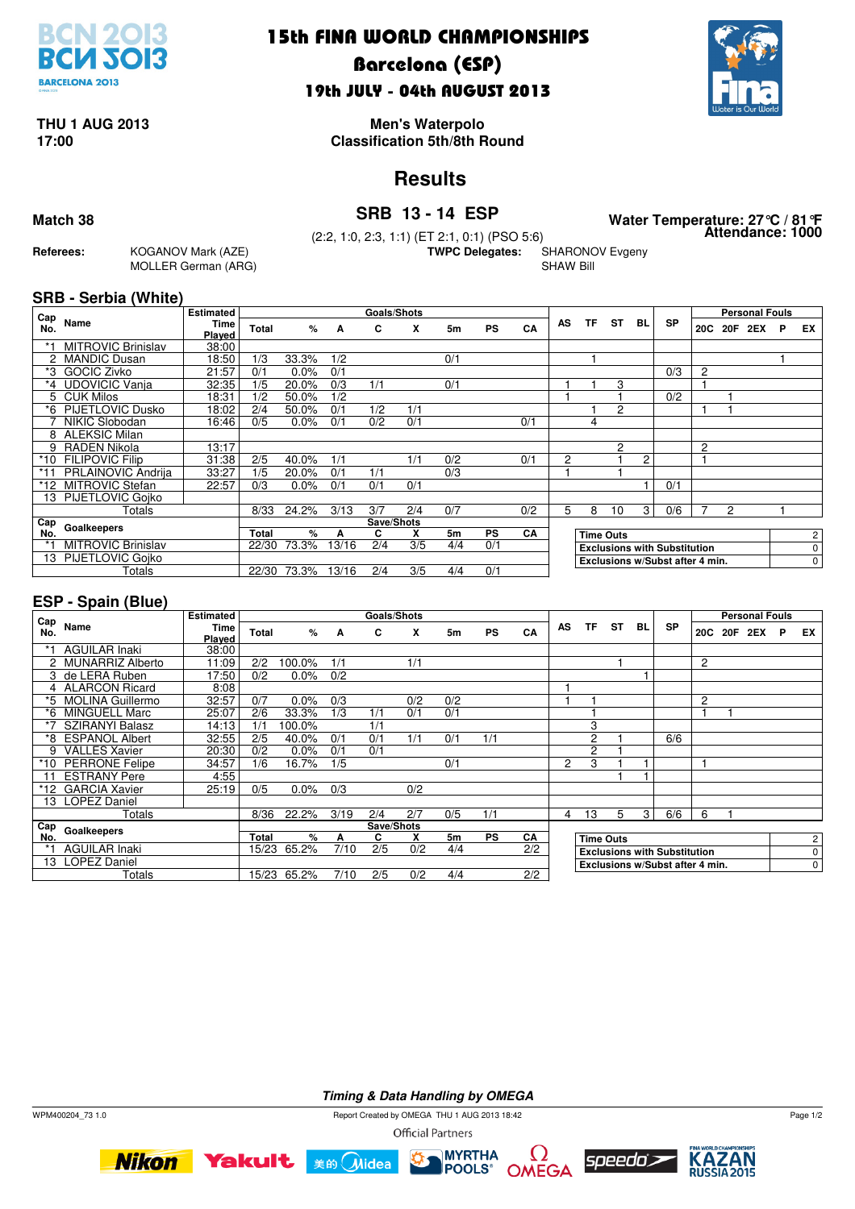

## 15th FINA WORLD CHAMPIONSHIPS

## Barcelona (ESP) 19th JULY - 04th AUGUST 2013



## **THU 1 AUG 2013**

**17:00 Classification 5th/8th Round Men's Waterpolo**

## **Results**

**Attendance: 1000 Match 38 SRB 13 - 14 ESP Water Temperature: 27°C / 81°F**

**SHARONOV Evgeny** 

SHAW Bill

**Referees:** KOGANOV Mark (AZE) MOLLER German (ARG)

(2:2, 1:0, 2:3, 1:1) (ET 2:1, 0:1) (PSO 5:6)

#### **SRB - Serbia (White)**

| Cap     |                           | Estimated      |              |         |       | <b>Goals/Shots</b> |     |     |           |     |                                 |                                     |                  |                |           |   |         | <b>Personal Fouls</b> |             |                |
|---------|---------------------------|----------------|--------------|---------|-------|--------------------|-----|-----|-----------|-----|---------------------------------|-------------------------------------|------------------|----------------|-----------|---|---------|-----------------------|-------------|----------------|
| No.     | Name                      | Time<br>Played | <b>Total</b> | $\%$    | A     | C                  | X   | 5m  | <b>PS</b> | CA  | AS                              | ΤF                                  | <b>ST</b>        | BL             | <b>SP</b> |   | 20C 20F | 2EX                   | P           | EX             |
|         | <b>MITROVIC Brinislav</b> | 38:00          |              |         |       |                    |     |     |           |     |                                 |                                     |                  |                |           |   |         |                       |             |                |
|         | <b>MANDIC Dusan</b>       | 18:50          | 1/3          | 33.3%   | 1/2   |                    |     | 0/1 |           |     |                                 |                                     |                  |                |           |   |         |                       |             |                |
| *3      | <b>GOCIC Zivko</b>        | 21:57          | 0/1          | $0.0\%$ | 0/1   |                    |     |     |           |     |                                 |                                     |                  |                | 0/3       | 2 |         |                       |             |                |
| $*_{4}$ | <b>UDOVICIC Vanja</b>     | 32:35          | 1/5          | 20.0%   | 0/3   | 1/1                |     | 0/1 |           |     |                                 |                                     | 3                |                |           |   |         |                       |             |                |
| 5.      | <b>CUK Milos</b>          | 18:31          | 1/2          | 50.0%   | 1/2   |                    |     |     |           |     |                                 |                                     |                  |                | 0/2       |   |         |                       |             |                |
| *6      | <b>PIJETLOVIC Dusko</b>   | 18:02          | 2/4          | 50.0%   | 0/1   | 1/2                | 1/1 |     |           |     |                                 |                                     | 2                |                |           |   |         |                       |             |                |
|         | NIKIC Slobodan            | 16:46          | 0/5          | $0.0\%$ | 0/1   | 0/2                | 0/1 |     |           | 0/1 |                                 | 4                                   |                  |                |           |   |         |                       |             |                |
| 8       | <b>ALEKSIC Milan</b>      |                |              |         |       |                    |     |     |           |     |                                 |                                     |                  |                |           |   |         |                       |             |                |
| 9       | <b>RADEN Nikola</b>       | 13:17          |              |         |       |                    |     |     |           |     |                                 |                                     | 2                |                |           | 2 |         |                       |             |                |
| *10     | <b>FILIPOVIC Filip</b>    | 31:38          | 2/5          | 40.0%   | 1/1   |                    | 1/1 | 0/2 |           | 0/1 | 2                               |                                     |                  | 2              |           |   |         |                       |             |                |
|         | <b>PRLAINOVIC Andriia</b> | 33:27          | 1/5          | 20.0%   | 0/1   | 1/1                |     | 0/3 |           |     |                                 |                                     |                  |                |           |   |         |                       |             |                |
| *12     | <b>MITROVIC Stefan</b>    | 22:57          | 0/3          | $0.0\%$ | 0/1   | 0/1                | 0/1 |     |           |     |                                 |                                     |                  |                | 0/1       |   |         |                       |             |                |
|         | 3 PIJETLOVIC Gojko        |                |              |         |       |                    |     |     |           |     |                                 |                                     |                  |                |           |   |         |                       |             |                |
|         | Totals                    |                | 8/33         | 24.2%   | 3/13  | 3/7                | 2/4 | 0/7 |           | 0/2 | 5                               | 8                                   | 10               | 3 <sub>1</sub> | 0/6       |   | 2       |                       |             |                |
| Cap     | Goalkeepers               |                |              |         |       | Save/Shots         |     |     |           |     |                                 |                                     |                  |                |           |   |         |                       |             |                |
| No.     |                           |                | <b>Total</b> | %       | А     | C.                 | x   | 5m  | <b>PS</b> | CA  |                                 |                                     | <b>Time Outs</b> |                |           |   |         |                       |             | $\overline{c}$ |
|         | <b>MITROVIC Brinislav</b> |                | 22/30        | 73.3%   | 13/16 | 2/4                | 3/5 | 4/4 | 0/1       |     |                                 | <b>Exclusions with Substitution</b> |                  |                |           |   |         |                       | $\mathbf 0$ |                |
| 13      | <b>PIJETLOVIC Goiko</b>   |                |              |         |       |                    |     |     |           |     | Exclusions w/Subst after 4 min. |                                     |                  |                |           |   |         | 0                     |             |                |
|         | Totals                    |                | 22/30        | 73.3%   | 13/16 | 2/4                | 3/5 | 4/4 | 0/1       |     |                                 |                                     |                  |                |           |   |         |                       |             |                |

#### **ESP - Spain (Blue)**

| Cap  |                        | <b>Estimated</b> |              |             |      | <b>Goals/Shots</b> |     |                |           |     |                                 |                                     |                  |              |           |                |     | <b>Personal Fouls</b> |   |                |
|------|------------------------|------------------|--------------|-------------|------|--------------------|-----|----------------|-----------|-----|---------------------------------|-------------------------------------|------------------|--------------|-----------|----------------|-----|-----------------------|---|----------------|
| No.  | Name                   | Time<br>Played   | Total        | %           | A    | C                  | X   | 5 <sub>m</sub> | <b>PS</b> | CA  | AS                              | ΤF                                  | ST               | BL           | <b>SP</b> | 20C            | 20F | 2EX                   | P | EX             |
|      | <b>AGUILAR Inaki</b>   | 38:00            |              |             |      |                    |     |                |           |     |                                 |                                     |                  |              |           |                |     |                       |   |                |
|      | 2 MUNARRIZ Alberto     | 11:09            | 2/2          | 100.0%      | 1/1  |                    | 1/1 |                |           |     |                                 |                                     |                  |              |           | $\overline{c}$ |     |                       |   |                |
| 3.   | de LERA Ruben          | 17:50            | 0/2          | 0.0%        | 0/2  |                    |     |                |           |     |                                 |                                     |                  |              |           |                |     |                       |   |                |
|      | 4 ALARCON Ricard       | 8:08             |              |             |      |                    |     |                |           |     |                                 |                                     |                  |              |           |                |     |                       |   |                |
|      | *5 MOLINA Guillermo    | 32:57            | 0/7          | 0.0%        | 0/3  |                    | 0/2 | 0/2            |           |     |                                 |                                     |                  |              |           | $\overline{2}$ |     |                       |   |                |
| *6   | <b>MINGUELL Marc</b>   | 25:07            | 2/6          | 33.3%       | 1/3  | 1/1                | 0/1 | 0/1            |           |     |                                 |                                     |                  |              |           |                |     |                       |   |                |
| $*7$ | <b>SZIRANYI Balasz</b> | 14:13            | 1/1          | 100.0%      |      | 1/1                |     |                |           |     |                                 | 3                                   |                  |              |           |                |     |                       |   |                |
| *8   | <b>ESPANOL Albert</b>  | 32:55            | 2/5          | 40.0%       | 0/1  | 0/1                | 1/1 | 0/1            | 1/1       |     |                                 | 2                                   |                  |              | 6/6       |                |     |                       |   |                |
| 9    | <b>VALLES Xavier</b>   | 20:30            | 0/2          | $0.0\%$     | 0/1  | 0/1                |     |                |           |     |                                 | $\overline{c}$                      |                  |              |           |                |     |                       |   |                |
| *10  | <b>PERRONE Felipe</b>  | 34:57            | 1/6          | 16.7%       | 1/5  |                    |     | 0/1            |           |     | 2                               | 3                                   |                  |              |           |                |     |                       |   |                |
| 11   | <b>ESTRANY Pere</b>    | 4:55             |              |             |      |                    |     |                |           |     |                                 |                                     |                  |              |           |                |     |                       |   |                |
| *12  | <b>GARCIA Xavier</b>   | 25:19            | 0/5          | $0.0\%$     | 0/3  |                    | 0/2 |                |           |     |                                 |                                     |                  |              |           |                |     |                       |   |                |
|      | 13 LOPEZ Daniel        |                  |              |             |      |                    |     |                |           |     |                                 |                                     |                  |              |           |                |     |                       |   |                |
|      | Totals                 |                  | 8/36         | 22.2%       | 3/19 | 2/4                | 2/7 | 0/5            | 1/1       |     | 4                               | 13                                  | 5                | $\mathbf{3}$ | 6/6       | 6              |     |                       |   |                |
| Cap  | Goalkeepers            |                  |              |             |      | Save/Shots         |     |                |           |     |                                 |                                     |                  |              |           |                |     |                       |   |                |
| No.  |                        |                  | <b>Total</b> | %           | А    | C                  | X   | 5 <sub>m</sub> | <b>PS</b> | CA  |                                 |                                     | <b>Time Outs</b> |              |           |                |     |                       |   | $\overline{2}$ |
| $*1$ | <b>AGUILAR Inaki</b>   |                  | 15/23        | 65.2%       | 7/10 | 2/5                | 0/2 | 4/4            |           | 2/2 |                                 | <b>Exclusions with Substitution</b> |                  |              |           |                |     |                       |   | 0              |
| 13   | <b>LOPEZ Daniel</b>    |                  |              |             |      |                    |     |                |           |     | Exclusions w/Subst after 4 min. |                                     |                  |              |           |                |     | $\mathbf 0$           |   |                |
|      | Totals                 |                  |              | 15/23 65.2% | 7/10 | 2/5                | 0/2 | 4/4            |           | 2/2 |                                 |                                     |                  |              |           |                |     |                       |   |                |

**Timing & Data Handling by OMEGA**

 $\sigma$ 

WPM400204\_73 1.0 Report Created by OMEGA THU 1 AUG 2013 18:42 **Official Partners** 









Page 1/2